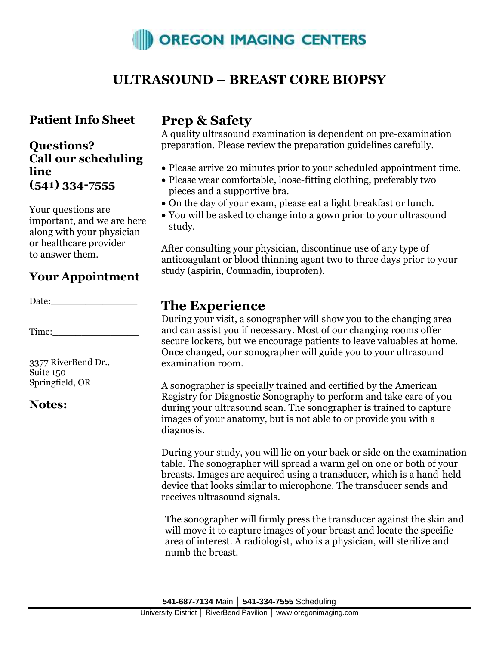

# **ULTRASOUND – BREAST CORE BIOPSY**

### **Patient Info Sheet**

### **Questions? Call our scheduling line (541) 334-7555**

Your questions are important, and we are here along with your physician or healthcare provider to answer them.

## **Your Appointment**

Date:

Time:

3377 RiverBend Dr., Suite 150 Springfield, OR

#### **Notes:**

# **Prep & Safety**

A quality ultrasound examination is dependent on pre-examination preparation. Please review the preparation guidelines carefully.

- Please arrive 20 minutes prior to your scheduled appointment time.
- Please wear comfortable, loose-fitting clothing, preferably two pieces and a supportive bra.
- On the day of your exam, please eat a light breakfast or lunch.
- You will be asked to change into a gown prior to your ultrasound study.

After consulting your physician, discontinue use of any type of anticoagulant or blood thinning agent two to three days prior to your study (aspirin, Coumadin, ibuprofen).

## **The Experience**

During your visit, a sonographer will show you to the changing area and can assist you if necessary. Most of our changing rooms offer secure lockers, but we encourage patients to leave valuables at home. Once changed, our sonographer will guide you to your ultrasound examination room.

A sonographer is specially trained and certified by the American Registry for Diagnostic Sonography to perform and take care of you during your ultrasound scan. The sonographer is trained to capture images of your anatomy, but is not able to or provide you with a diagnosis.

During your study, you will lie on your back or side on the examination table. The sonographer will spread a warm gel on one or both of your breasts. Images are acquired using a transducer, which is a hand-held device that looks similar to microphone. The transducer sends and receives ultrasound signals.

The sonographer will firmly press the transducer against the skin and will move it to capture images of your breast and locate the specific area of interest. A radiologist, who is a physician, will sterilize and numb the breast.